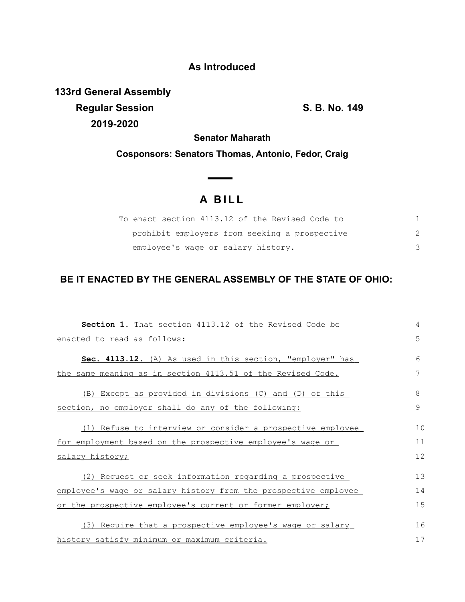## **As Introduced**

**133rd General Assembly Regular Session S. B. No. 149 2019-2020**

**Senator Maharath**

**Cosponsors: Senators Thomas, Antonio, Fedor, Craig**

## **A B I L L**

<u> The Common State State Sta</u>te

| To enact section 4113.12 of the Revised Code to |  |
|-------------------------------------------------|--|
| prohibit employers from seeking a prospective   |  |
| employee's wage or salary history.              |  |

## **BE IT ENACTED BY THE GENERAL ASSEMBLY OF THE STATE OF OHIO:**

| <b>Section 1.</b> That section 4113.12 of the Revised Code be   | 4  |
|-----------------------------------------------------------------|----|
| enacted to read as follows:                                     | 5  |
| Sec. 4113.12. (A) As used in this section, "employer" has       | 6  |
| the same meaning as in section 4113.51 of the Revised Code.     | 7  |
| (B) Except as provided in divisions (C) and (D) of this         | 8  |
| section, no employer shall do any of the following:             | 9  |
| (1) Refuse to interview or consider a prospective employee      | 10 |
| for employment based on the prospective employee's wage or      | 11 |
| salary history;                                                 | 12 |
| (2) Request or seek information regarding a prospective         | 13 |
| employee's wage or salary history from the prospective employee | 14 |
| or the prospective employee's current or former employer;       | 15 |
| (3) Require that a prospective employee's wage or salary        | 16 |
| history satisfy minimum or maximum criteria.                    | 17 |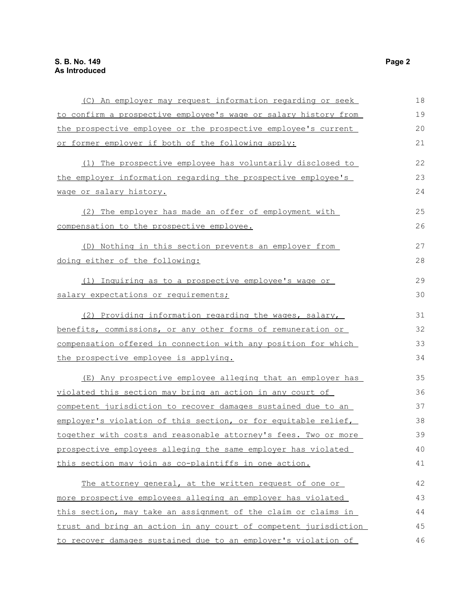| (C) An employer may request information regarding or seek        | 18 |
|------------------------------------------------------------------|----|
| to confirm a prospective employee's wage or salary history from  | 19 |
| the prospective employee or the prospective employee's current   | 20 |
| or former employer if both of the following apply:               | 21 |
|                                                                  |    |
| (1) The prospective employee has voluntarily disclosed to        | 22 |
| the employer information regarding the prospective employee's    | 23 |
| wage or salary history.                                          | 24 |
| (2) The employer has made an offer of employment with            | 25 |
| compensation to the prospective employee.                        | 26 |
| (D) Nothing in this section prevents an employer from            | 27 |
| doing either of the following:                                   | 28 |
| (1) Inquiring as to a prospective employee's wage or             | 29 |
| salary expectations or requirements;                             | 30 |
| (2) Providing information regarding the wages, salary,           | 31 |
| benefits, commissions, or any other forms of remuneration or     | 32 |
| compensation offered in connection with any position for which   | 33 |
| the prospective employee is applying.                            | 34 |
|                                                                  |    |
| (E) Any prospective employee alleging that an employer has       | 35 |
| violated this section may bring an action in any court of        | 36 |
| competent jurisdiction to recover damages sustained due to an    | 37 |
| employer's violation of this section, or for equitable relief,   | 38 |
| together with costs and reasonable attorney's fees. Two or more  | 39 |
| prospective employees alleging the same employer has violated    | 40 |
| this section may join as co-plaintiffs in one action.            | 41 |
| The attorney general, at the written request of one or           | 42 |
| more prospective employees alleging an employer has violated     | 43 |
| this section, may take an assignment of the claim or claims in   | 44 |
| trust and bring an action in any court of competent jurisdiction | 45 |
| to recover damages sustained due to an employer's violation of   | 46 |